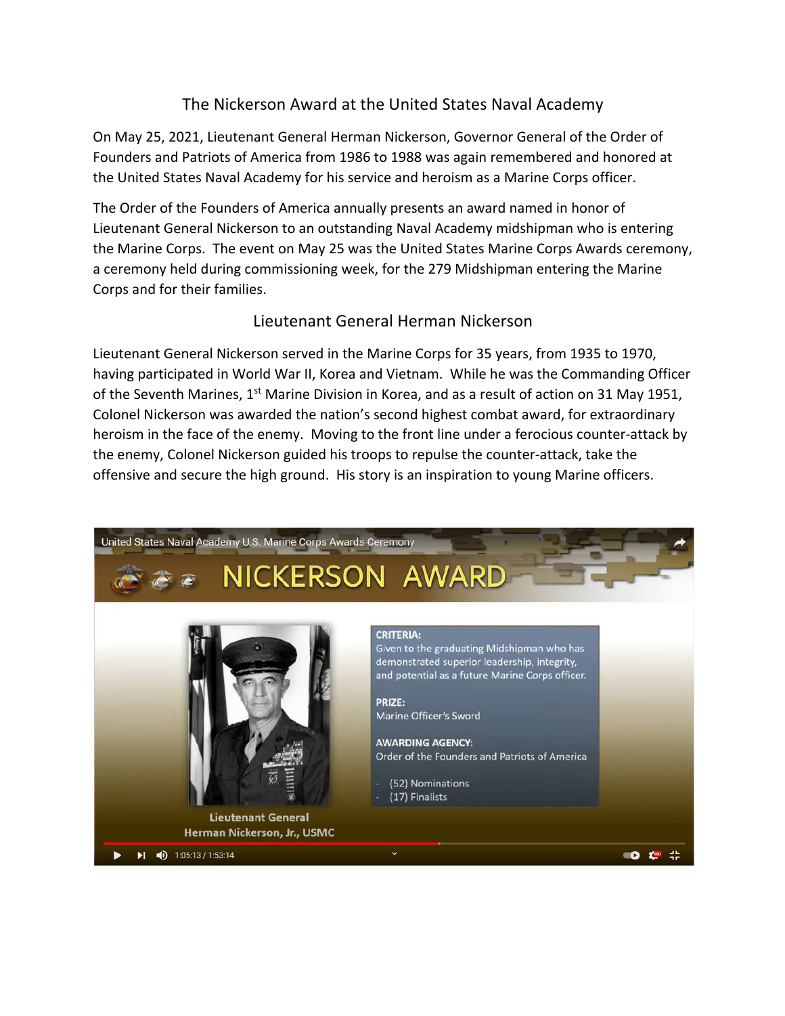## The Nickerson Award at the United States Naval Academy

On May 25, 2021, Lieutenant General Herman Nickerson, Governor General of the Order of Founders and Patriots of America from 1986 to 1988 was again remembered and honored at the United States Naval Academy for his service and heroism as a Marine Corps officer.

The Order of the Founders of America annually presents an award named in honor of Lieutenant General Nickerson to an outstanding Naval Academy midshipman who is entering the Marine Corps. The event on May 25 was the United States Marine Corps Awards ceremony, a ceremony held during commissioning week, for the 279 Midshipman entering the Marine Corps and for their families.

## Lieutenant General Herman Nickerson

Lieutenant General Nickerson served in the Marine Corps for 35 years, from 1935 to 1970, having participated in World War II, Korea and Vietnam. While he was the Commanding Officer of the Seventh Marines, 1<sup>st</sup> Marine Division in Korea, and as a result of action on 31 May 1951, Colonel Nickerson was awarded the nation's second highest combat award, for extraordinary heroism in the face of the enemy. Moving to the front line under a ferocious counter-attack by the enemy, Colonel Nickerson guided his troops to repulse the counter-attack, take the offensive and secure the high ground. His story is an inspiration to young Marine officers.

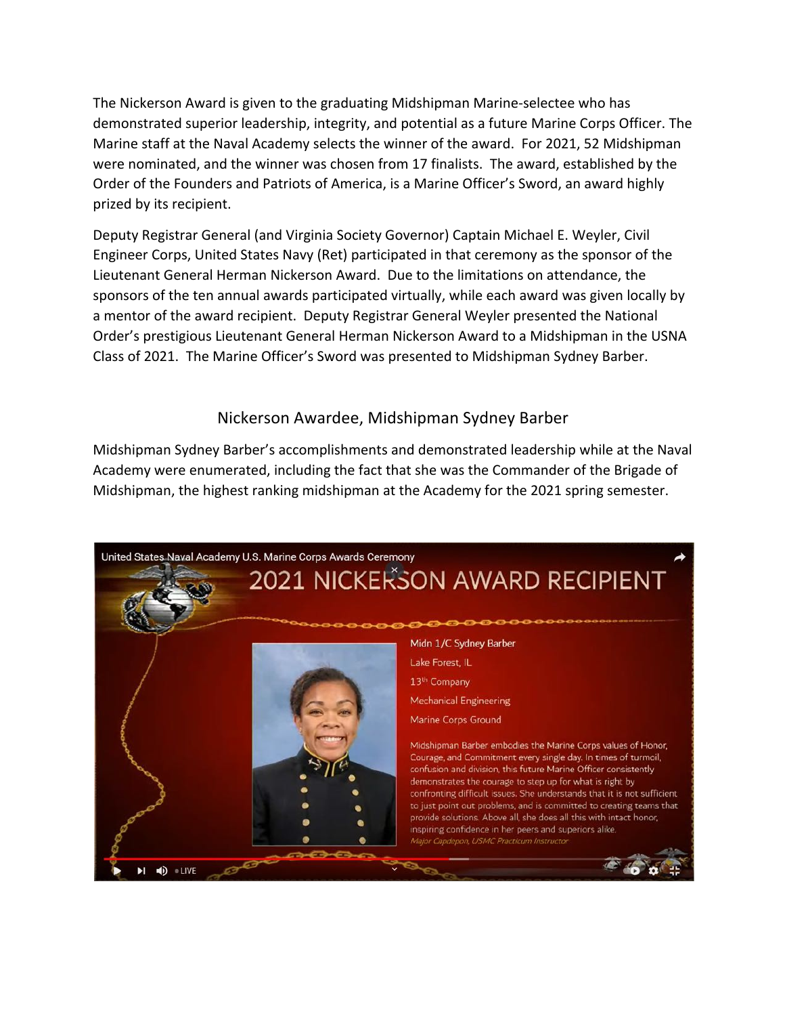The Nickerson Award is given to the graduating Midshipman Marine-selectee who has demonstrated superior leadership, integrity, and potential as a future Marine Corps Officer. The Marine staff at the Naval Academy selects the winner of the award. For 2021, 52 Midshipman were nominated, and the winner was chosen from 17 finalists. The award, established by the Order of the Founders and Patriots of America, is a Marine Officer's Sword, an award highly prized by its recipient.

Deputy Registrar General (and Virginia Society Governor) Captain Michael E. Weyler, Civil Engineer Corps, United States Navy (Ret) participated in that ceremony as the sponsor of the Lieutenant General Herman Nickerson Award. Due to the limitations on attendance, the sponsors of the ten annual awards participated virtually, while each award was given locally by a mentor of the award recipient. Deputy Registrar General Weyler presented the National Order's prestigious Lieutenant General Herman Nickerson Award to a Midshipman in the USNA Class of 2021. The Marine Officer's Sword was presented to Midshipman Sydney Barber.

## Nickerson Awardee, Midshipman Sydney Barber

Midshipman Sydney Barber's accomplishments and demonstrated leadership while at the Naval Academy were enumerated, including the fact that she was the Commander of the Brigade of Midshipman, the highest ranking midshipman at the Academy for the 2021 spring semester.